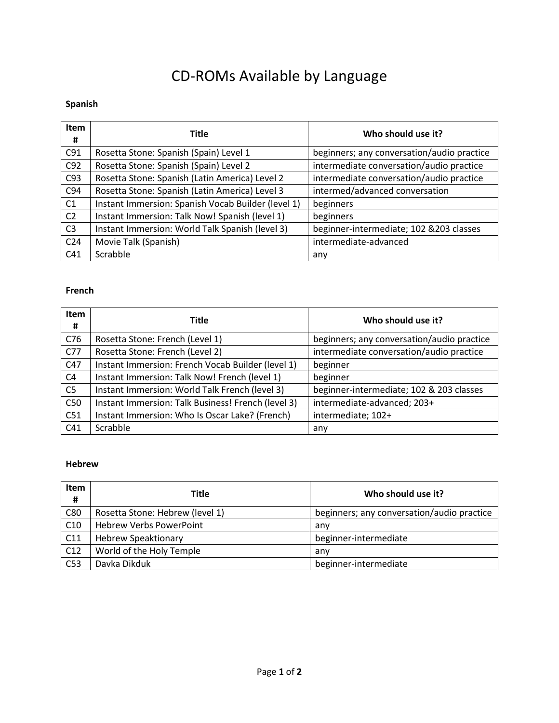# CD-ROMs Available by Language

## **Spanish**

| Item<br>#       | Title                                              | Who should use it?                         |
|-----------------|----------------------------------------------------|--------------------------------------------|
| C91             | Rosetta Stone: Spanish (Spain) Level 1             | beginners; any conversation/audio practice |
| C92             | Rosetta Stone: Spanish (Spain) Level 2             | intermediate conversation/audio practice   |
| C93             | Rosetta Stone: Spanish (Latin America) Level 2     | intermediate conversation/audio practice   |
| C94             | Rosetta Stone: Spanish (Latin America) Level 3     | intermed/advanced conversation             |
| C <sub>1</sub>  | Instant Immersion: Spanish Vocab Builder (level 1) | beginners                                  |
| C <sub>2</sub>  | Instant Immersion: Talk Now! Spanish (level 1)     | beginners                                  |
| C <sub>3</sub>  | Instant Immersion: World Talk Spanish (level 3)    | beginner-intermediate; 102 & 203 classes   |
| C <sub>24</sub> | Movie Talk (Spanish)                               | intermediate-advanced                      |
| C <sub>41</sub> | Scrabble                                           | any                                        |

### **French**

| Item<br># | <b>Title</b>                                       | Who should use it?                         |
|-----------|----------------------------------------------------|--------------------------------------------|
| C76       | Rosetta Stone: French (Level 1)                    | beginners; any conversation/audio practice |
| C77       | Rosetta Stone: French (Level 2)                    | intermediate conversation/audio practice   |
| C47       | Instant Immersion: French Vocab Builder (level 1)  | beginner                                   |
| C4        | Instant Immersion: Talk Now! French (level 1)      | beginner                                   |
| C5        | Instant Immersion: World Talk French (level 3)     | beginner-intermediate; 102 & 203 classes   |
| C50       | Instant Immersion: Talk Business! French (level 3) | intermediate-advanced; 203+                |
| C51       | Instant Immersion: Who Is Oscar Lake? (French)     | intermediate; 102+                         |
| C41       | Scrabble                                           | any                                        |

### **Hebrew**

| Item<br>#       | Title                           | Who should use it?                         |
|-----------------|---------------------------------|--------------------------------------------|
| C80             | Rosetta Stone: Hebrew (level 1) | beginners; any conversation/audio practice |
| C10             | <b>Hebrew Verbs PowerPoint</b>  | any                                        |
| C11             | <b>Hebrew Speaktionary</b>      | beginner-intermediate                      |
| C12             | World of the Holy Temple        | anv                                        |
| C <sub>53</sub> | Davka Dikduk                    | beginner-intermediate                      |